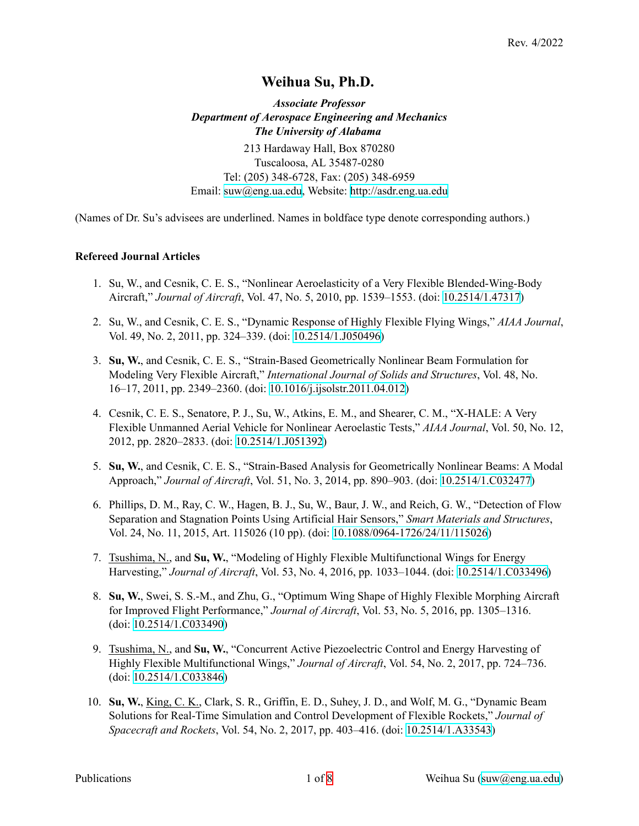# **Weihua Su, Ph.D.**

*Associate Professor Department of Aerospace Engineering and Mechanics The University of Alabama* 213 Hardaway Hall, Box 870280 Tuscaloosa, AL 35487-0280 Tel: (205) 348-6728, Fax: (205) 348-6959 Email: [suw@eng.ua.edu](mailto:suw@eng.ua.edu), Website: <http://asdr.eng.ua.edu>

(Names of Dr. Su's advisees are underlined. Names in boldface type denote corresponding authors.)

#### **Refereed Journal Articles**

- 1. Su, W., and Cesnik, C. E. S., "Nonlinear Aeroelasticity of a Very Flexible Blended-Wing-Body Aircraft," *Journal of Aircraft*, Vol. 47, No. 5, 2010, pp. 1539–1553. (doi: [10.2514/1.47317\)](https://doi.org/10.2514/1.47317)
- 2. Su, W., and Cesnik, C. E. S., "Dynamic Response of Highly Flexible Flying Wings," *AIAA Journal*, Vol. 49, No. 2, 2011, pp. 324–339. (doi: [10.2514/1.J050496\)](https://doi.org/10.2514/1.J050496)
- 3. **Su, W.**, and Cesnik, C. E. S., "Strain-Based Geometrically Nonlinear Beam Formulation for Modeling Very Flexible Aircraft," *International Journal of Solids and Structures*, Vol. 48, No. 16–17, 2011, pp. 2349–2360. (doi: [10.1016/j.ijsolstr.2011.04.012](https://doi.org/10.1016/j.ijsolstr.2011.04.012))
- 4. Cesnik, C. E. S., Senatore, P. J., Su, W., Atkins, E. M., and Shearer, C. M., "X-HALE: A Very Flexible Unmanned Aerial Vehicle for Nonlinear Aeroelastic Tests," *AIAA Journal*, Vol. 50, No. 12, 2012, pp. 2820–2833. (doi: [10.2514/1.J051392\)](https://doi.org/10.2514/1.J051392)
- 5. **Su, W.**, and Cesnik, C. E. S., "Strain-Based Analysis for Geometrically Nonlinear Beams: A Modal Approach," *Journal of Aircraft*, Vol. 51, No. 3, 2014, pp. 890–903. (doi: [10.2514/1.C032477\)](https://doi.org/10.2514/1.C032477)
- 6. Phillips, D. M., Ray, C. W., Hagen, B. J., Su, W., Baur, J. W., and Reich, G. W., "Detection of Flow Separation and Stagnation Points Using Artificial Hair Sensors," *Smart Materials and Structures*, Vol. 24, No. 11, 2015, Art. 115026 (10 pp). (doi: [10.1088/0964-1726/24/11/115026](https://doi.org/10.1088/0964-1726/24/11/115026))
- 7. Tsushima, N., and **Su, W.**, "Modeling of Highly Flexible Multifunctional Wings for Energy Harvesting," *Journal of Aircraft*, Vol. 53, No. 4, 2016, pp. 1033–1044. (doi: [10.2514/1.C033496\)](https://doi.org/10.2514/1.C033496)
- 8. **Su, W.**, Swei, S. S.-M., and Zhu, G., "Optimum Wing Shape of Highly Flexible Morphing Aircraft for Improved Flight Performance," *Journal of Aircraft*, Vol. 53, No. 5, 2016, pp. 1305–1316. (doi: [10.2514/1.C033490](https://doi.org/10.2514/1.C033490))
- 9. Tsushima, N., and **Su, W.**, "Concurrent Active Piezoelectric Control and Energy Harvesting of Highly Flexible Multifunctional Wings," *Journal of Aircraft*, Vol. 54, No. 2, 2017, pp. 724–736. (doi: [10.2514/1.C033846](https://doi.org/10.2514/1.C033846))
- 10. **Su, W.**, King, C. K., Clark, S. R., Griffin, E. D., Suhey, J. D., and Wolf, M. G., "Dynamic Beam Solutions for Real-Time Simulation and Control Development of Flexible Rockets," *Journal of Spacecraft and Rockets*, Vol. 54, No. 2, 2017, pp. 403–416. (doi: [10.2514/1.A33543](https://doi.org/10.2514/1.A33543))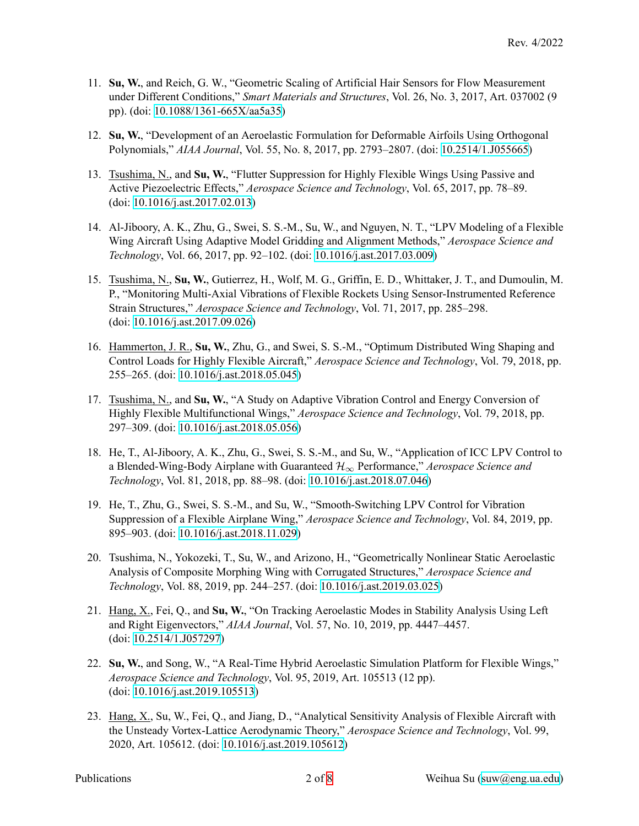- 11. **Su, W.**, and Reich, G. W., "Geometric Scaling of Artificial Hair Sensors for Flow Measurement under Different Conditions," *Smart Materials and Structures*, Vol. 26, No. 3, 2017, Art. 037002 (9 pp). (doi: [10.1088/1361-665X/aa5a35\)](https://doi.org/10.1088/1361-665X/aa5a35)
- 12. **Su, W.**, "Development of an Aeroelastic Formulation for Deformable Airfoils Using Orthogonal Polynomials," *AIAA Journal*, Vol. 55, No. 8, 2017, pp. 2793–2807. (doi: [10.2514/1.J055665\)](https://doi.org/10.2514/1.J055665)
- 13. Tsushima, N., and **Su, W.**, "Flutter Suppression for Highly Flexible Wings Using Passive and Active Piezoelectric Effects," *Aerospace Science and Technology*, Vol. 65, 2017, pp. 78–89. (doi: [10.1016/j.ast.2017.02.013](https://doi.org/10.1016/j.ast.2017.02.013))
- 14. Al-Jiboory, A. K., Zhu, G., Swei, S. S.-M., Su, W., and Nguyen, N. T., "LPV Modeling of a Flexible Wing Aircraft Using Adaptive Model Gridding and Alignment Methods," *Aerospace Science and Technology*, Vol. 66, 2017, pp. 92–102. (doi: [10.1016/j.ast.2017.03.009](https://doi.org/10.1016/j.ast.2017.03.009))
- 15. Tsushima, N., **Su, W.**, Gutierrez, H., Wolf, M. G., Griffin, E. D., Whittaker, J. T., and Dumoulin, M. P., "Monitoring Multi-Axial Vibrations of Flexible Rockets Using Sensor-Instrumented Reference Strain Structures," *Aerospace Science and Technology*, Vol. 71, 2017, pp. 285–298. (doi: [10.1016/j.ast.2017.09.026](https://doi.org/10.1016/j.ast.2017.09.026))
- 16. Hammerton, J. R., **Su, W.**, Zhu, G., and Swei, S. S.-M., "Optimum Distributed Wing Shaping and Control Loads for Highly Flexible Aircraft," *Aerospace Science and Technology*, Vol. 79, 2018, pp. 255–265. (doi: [10.1016/j.ast.2018.05.045](https://doi.org/10.1016/j.ast.2018.05.045))
- 17. Tsushima, N., and **Su, W.**, "A Study on Adaptive Vibration Control and Energy Conversion of Highly Flexible Multifunctional Wings," *Aerospace Science and Technology*, Vol. 79, 2018, pp. 297–309. (doi: [10.1016/j.ast.2018.05.056](https://doi.org/10.1016/j.ast.2018.05.056))
- 18. He, T., Al-Jiboory, A. K., Zhu, G., Swei, S. S.-M., and Su, W., "Application of ICC LPV Control to a Blended-Wing-Body Airplane with Guaranteed *H<sup>∞</sup>* Performance," *Aerospace Science and Technology*, Vol. 81, 2018, pp. 88–98. (doi: [10.1016/j.ast.2018.07.046\)](https://doi.org/10.1016/j.ast.2018.07.046)
- 19. He, T., Zhu, G., Swei, S. S.-M., and Su, W., "Smooth-Switching LPV Control for Vibration Suppression of a Flexible Airplane Wing," *Aerospace Science and Technology*, Vol. 84, 2019, pp. 895–903. (doi: [10.1016/j.ast.2018.11.029\)](https://doi.org/10.1016/j.ast.2018.11.029)
- 20. Tsushima, N., Yokozeki, T., Su, W., and Arizono, H., "Geometrically Nonlinear Static Aeroelastic Analysis of Composite Morphing Wing with Corrugated Structures," *Aerospace Science and Technology*, Vol. 88, 2019, pp. 244–257. (doi: [10.1016/j.ast.2019.03.025\)](https://doi.org/10.1016/j.ast.2019.03.025)
- 21. Hang, X., Fei, Q., and **Su, W.**, "On Tracking Aeroelastic Modes in Stability Analysis Using Left and Right Eigenvectors," *AIAA Journal*, Vol. 57, No. 10, 2019, pp. 4447–4457. (doi: [10.2514/1.J057297](https://doi.org/10.2514/1.J057297))
- 22. **Su, W.**, and Song, W., "A Real-Time Hybrid Aeroelastic Simulation Platform for Flexible Wings," *Aerospace Science and Technology*, Vol. 95, 2019, Art. 105513 (12 pp). (doi: [10.1016/j.ast.2019.105513](https://doi.org/10.1016/j.ast.2019.105513))
- 23. Hang, X., Su, W., Fei, Q., and Jiang, D., "Analytical Sensitivity Analysis of Flexible Aircraft with the Unsteady Vortex-Lattice Aerodynamic Theory," *Aerospace Science and Technology*, Vol. 99, 2020, Art. 105612. (doi: [10.1016/j.ast.2019.105612\)](https://doi.org/10.1016/j.ast.2019.105612)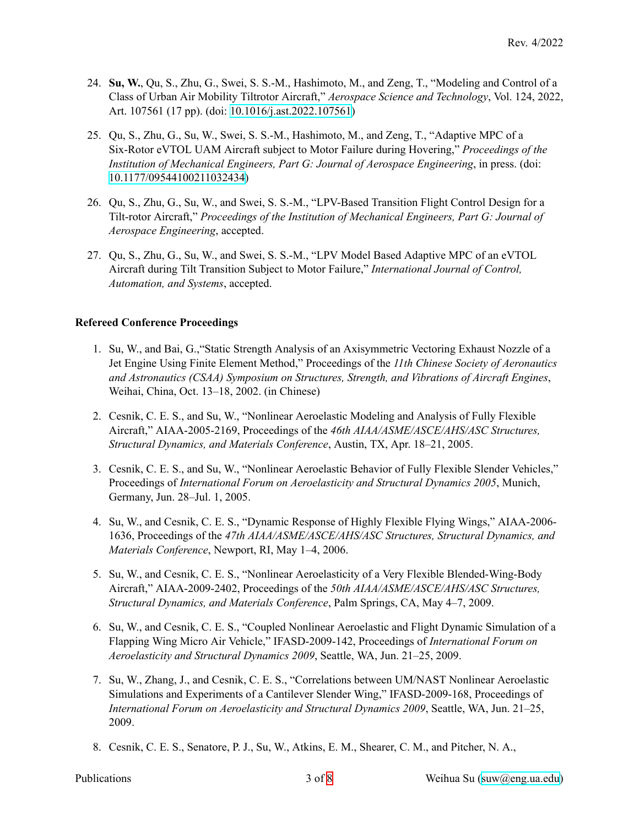- 24. **Su, W.**, Qu, S., Zhu, G., Swei, S. S.-M., Hashimoto, M., and Zeng, T., "Modeling and Control of a Class of Urban Air Mobility Tiltrotor Aircraft," *Aerospace Science and Technology*, Vol. 124, 2022, Art. 107561 (17 pp). (doi: [10.1016/j.ast.2022.107561\)](https://doi.org/10.1016/j.ast.2022.107561)
- 25. Qu, S., Zhu, G., Su, W., Swei, S. S.-M., Hashimoto, M., and Zeng, T., "Adaptive MPC of a Six-Rotor eVTOL UAM Aircraft subject to Motor Failure during Hovering," *Proceedings of the Institution of Mechanical Engineers, Part G: Journal of Aerospace Engineering*, in press. (doi: [10.1177/09544100211032434\)](https://doi.org/10.1177/09544100211032434)
- 26. Qu, S., Zhu, G., Su, W., and Swei, S. S.-M., "LPV-Based Transition Flight Control Design for a Tilt-rotor Aircraft," *Proceedings of the Institution of Mechanical Engineers, Part G: Journal of Aerospace Engineering*, accepted.
- 27. Qu, S., Zhu, G., Su, W., and Swei, S. S.-M., "LPV Model Based Adaptive MPC of an eVTOL Aircraft during Tilt Transition Subject to Motor Failure," *International Journal of Control, Automation, and Systems*, accepted.

### **Refereed Conference Proceedings**

- 1. Su, W., and Bai, G.,"Static Strength Analysis of an Axisymmetric Vectoring Exhaust Nozzle of a Jet Engine Using Finite Element Method," Proceedings of the *11th Chinese Society of Aeronautics and Astronautics (CSAA) Symposium on Structures, Strength, and Vibrations of Aircraft Engines*, Weihai, China, Oct. 13–18, 2002. (in Chinese)
- 2. Cesnik, C. E. S., and Su, W., "Nonlinear Aeroelastic Modeling and Analysis of Fully Flexible Aircraft," AIAA-2005-2169, Proceedings of the *46th AIAA/ASME/ASCE/AHS/ASC Structures, Structural Dynamics, and Materials Conference*, Austin, TX, Apr. 18–21, 2005.
- 3. Cesnik, C. E. S., and Su, W., "Nonlinear Aeroelastic Behavior of Fully Flexible Slender Vehicles," Proceedings of *International Forum on Aeroelasticity and Structural Dynamics 2005*, Munich, Germany, Jun. 28–Jul. 1, 2005.
- 4. Su, W., and Cesnik, C. E. S., "Dynamic Response of Highly Flexible Flying Wings," AIAA-2006- 1636, Proceedings of the *47th AIAA/ASME/ASCE/AHS/ASC Structures, Structural Dynamics, and Materials Conference*, Newport, RI, May 1–4, 2006.
- 5. Su, W., and Cesnik, C. E. S., "Nonlinear Aeroelasticity of a Very Flexible Blended-Wing-Body Aircraft," AIAA-2009-2402, Proceedings of the *50th AIAA/ASME/ASCE/AHS/ASC Structures, Structural Dynamics, and Materials Conference*, Palm Springs, CA, May 4–7, 2009.
- 6. Su, W., and Cesnik, C. E. S., "Coupled Nonlinear Aeroelastic and Flight Dynamic Simulation of a Flapping Wing Micro Air Vehicle," IFASD-2009-142, Proceedings of *International Forum on Aeroelasticity and Structural Dynamics 2009*, Seattle, WA, Jun. 21–25, 2009.
- 7. Su, W., Zhang, J., and Cesnik, C. E. S., "Correlations between UM/NAST Nonlinear Aeroelastic Simulations and Experiments of a Cantilever Slender Wing," IFASD-2009-168, Proceedings of *International Forum on Aeroelasticity and Structural Dynamics 2009*, Seattle, WA, Jun. 21–25, 2009.
- 8. Cesnik, C. E. S., Senatore, P. J., Su, W., Atkins, E. M., Shearer, C. M., and Pitcher, N. A.,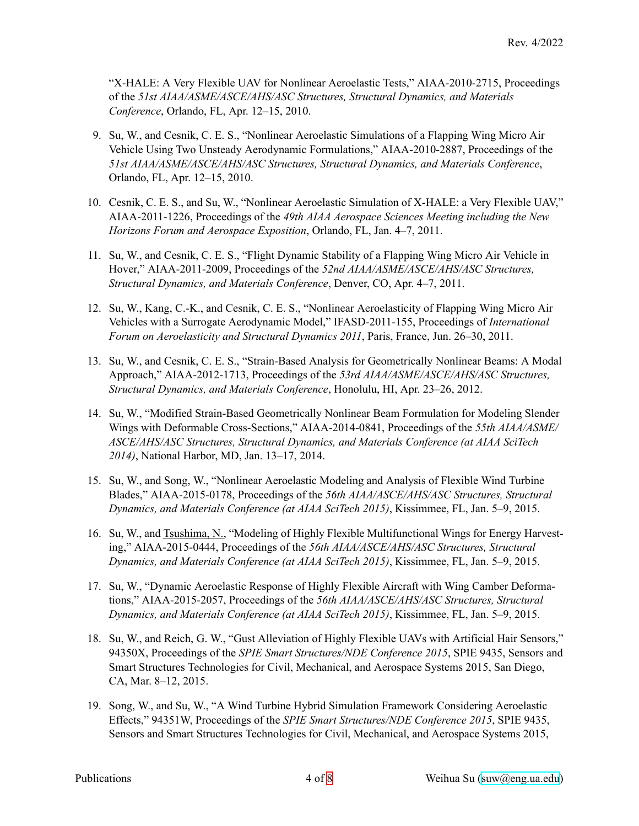"X-HALE: A Very Flexible UAV for Nonlinear Aeroelastic Tests," AIAA-2010-2715, Proceedings of the *51st AIAA/ASME/ASCE/AHS/ASC Structures, Structural Dynamics, and Materials Conference*, Orlando, FL, Apr. 12–15, 2010.

- 9. Su, W., and Cesnik, C. E. S., "Nonlinear Aeroelastic Simulations of a Flapping Wing Micro Air Vehicle Using Two Unsteady Aerodynamic Formulations," AIAA-2010-2887, Proceedings of the *51st AIAA/ASME/ASCE/AHS/ASC Structures, Structural Dynamics, and Materials Conference*, Orlando, FL, Apr. 12–15, 2010.
- 10. Cesnik, C. E. S., and Su, W., "Nonlinear Aeroelastic Simulation of X-HALE: a Very Flexible UAV," AIAA-2011-1226, Proceedings of the *49th AIAA Aerospace Sciences Meeting including the New Horizons Forum and Aerospace Exposition*, Orlando, FL, Jan. 4–7, 2011.
- 11. Su, W., and Cesnik, C. E. S., "Flight Dynamic Stability of a Flapping Wing Micro Air Vehicle in Hover," AIAA-2011-2009, Proceedings of the *52nd AIAA/ASME/ASCE/AHS/ASC Structures, Structural Dynamics, and Materials Conference*, Denver, CO, Apr. 4–7, 2011.
- 12. Su, W., Kang, C.-K., and Cesnik, C. E. S., "Nonlinear Aeroelasticity of Flapping Wing Micro Air Vehicles with a Surrogate Aerodynamic Model," IFASD-2011-155, Proceedings of *International Forum on Aeroelasticity and Structural Dynamics 2011*, Paris, France, Jun. 26–30, 2011.
- 13. Su, W., and Cesnik, C. E. S., "Strain-Based Analysis for Geometrically Nonlinear Beams: A Modal Approach," AIAA-2012-1713, Proceedings of the *53rd AIAA/ASME/ASCE/AHS/ASC Structures, Structural Dynamics, and Materials Conference*, Honolulu, HI, Apr. 23–26, 2012.
- 14. Su, W., "Modified Strain-Based Geometrically Nonlinear Beam Formulation for Modeling Slender Wings with Deformable Cross-Sections," AIAA-2014-0841, Proceedings of the *55th AIAA/ASME/ ASCE/AHS/ASC Structures, Structural Dynamics, and Materials Conference (at AIAA SciTech 2014)*, National Harbor, MD, Jan. 13–17, 2014.
- 15. Su, W., and Song, W., "Nonlinear Aeroelastic Modeling and Analysis of Flexible Wind Turbine Blades," AIAA-2015-0178, Proceedings of the *56th AIAA/ASCE/AHS/ASC Structures, Structural Dynamics, and Materials Conference (at AIAA SciTech 2015)*, Kissimmee, FL, Jan. 5–9, 2015.
- 16. Su, W., and Tsushima, N., "Modeling of Highly Flexible Multifunctional Wings for Energy Harvesting," AIAA-2015-0444, Proceedings of the *56th AIAA/ASCE/AHS/ASC Structures, Structural Dynamics, and Materials Conference (at AIAA SciTech 2015)*, Kissimmee, FL, Jan. 5–9, 2015.
- 17. Su, W., "Dynamic Aeroelastic Response of Highly Flexible Aircraft with Wing Camber Deformations," AIAA-2015-2057, Proceedings of the *56th AIAA/ASCE/AHS/ASC Structures, Structural Dynamics, and Materials Conference (at AIAA SciTech 2015)*, Kissimmee, FL, Jan. 5–9, 2015.
- 18. Su, W., and Reich, G. W., "Gust Alleviation of Highly Flexible UAVs with Artificial Hair Sensors," 94350X, Proceedings of the *SPIE Smart Structures/NDE Conference 2015*, SPIE 9435, Sensors and Smart Structures Technologies for Civil, Mechanical, and Aerospace Systems 2015, San Diego, CA, Mar. 8–12, 2015.
- 19. Song, W., and Su, W., "A Wind Turbine Hybrid Simulation Framework Considering Aeroelastic Effects," 94351W, Proceedings of the *SPIE Smart Structures/NDE Conference 2015*, SPIE 9435, Sensors and Smart Structures Technologies for Civil, Mechanical, and Aerospace Systems 2015,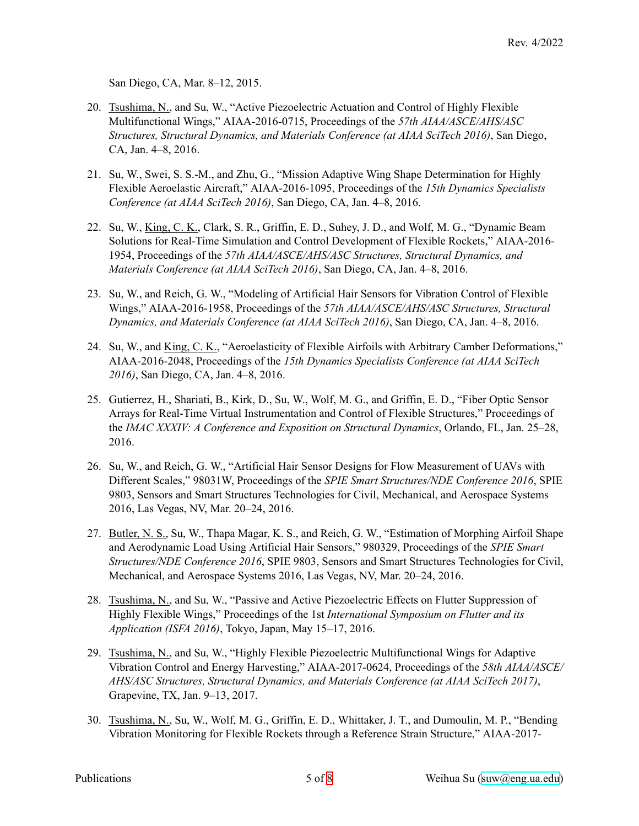San Diego, CA, Mar. 8–12, 2015.

- 20. Tsushima, N., and Su, W., "Active Piezoelectric Actuation and Control of Highly Flexible Multifunctional Wings," AIAA-2016-0715, Proceedings of the *57th AIAA/ASCE/AHS/ASC Structures, Structural Dynamics, and Materials Conference (at AIAA SciTech 2016)*, San Diego, CA, Jan. 4–8, 2016.
- 21. Su, W., Swei, S. S.-M., and Zhu, G., "Mission Adaptive Wing Shape Determination for Highly Flexible Aeroelastic Aircraft," AIAA-2016-1095, Proceedings of the *15th Dynamics Specialists Conference (at AIAA SciTech 2016)*, San Diego, CA, Jan. 4–8, 2016.
- 22. Su, W., King, C. K., Clark, S. R., Griffin, E. D., Suhey, J. D., and Wolf, M. G., "Dynamic Beam Solutions for Real-Time Simulation and Control Development of Flexible Rockets," AIAA-2016- 1954, Proceedings of the *57th AIAA/ASCE/AHS/ASC Structures, Structural Dynamics, and Materials Conference (at AIAA SciTech 2016)*, San Diego, CA, Jan. 4–8, 2016.
- 23. Su, W., and Reich, G. W., "Modeling of Artificial Hair Sensors for Vibration Control of Flexible Wings," AIAA-2016-1958, Proceedings of the *57th AIAA/ASCE/AHS/ASC Structures, Structural Dynamics, and Materials Conference (at AIAA SciTech 2016)*, San Diego, CA, Jan. 4–8, 2016.
- 24. Su, W., and King, C. K., "Aeroelasticity of Flexible Airfoils with Arbitrary Camber Deformations," AIAA-2016-2048, Proceedings of the *15th Dynamics Specialists Conference (at AIAA SciTech 2016)*, San Diego, CA, Jan. 4–8, 2016.
- 25. Gutierrez, H., Shariati, B., Kirk, D., Su, W., Wolf, M. G., and Griffin, E. D., "Fiber Optic Sensor Arrays for Real-Time Virtual Instrumentation and Control of Flexible Structures," Proceedings of the *IMAC XXXIV: A Conference and Exposition on Structural Dynamics*, Orlando, FL, Jan. 25–28, 2016.
- 26. Su, W., and Reich, G. W., "Artificial Hair Sensor Designs for Flow Measurement of UAVs with Different Scales," 98031W, Proceedings of the *SPIE Smart Structures/NDE Conference 2016*, SPIE 9803, Sensors and Smart Structures Technologies for Civil, Mechanical, and Aerospace Systems 2016, Las Vegas, NV, Mar. 20–24, 2016.
- 27. Butler, N. S., Su, W., Thapa Magar, K. S., and Reich, G. W., "Estimation of Morphing Airfoil Shape and Aerodynamic Load Using Artificial Hair Sensors," 980329, Proceedings of the *SPIE Smart Structures/NDE Conference 2016*, SPIE 9803, Sensors and Smart Structures Technologies for Civil, Mechanical, and Aerospace Systems 2016, Las Vegas, NV, Mar. 20–24, 2016.
- 28. Tsushima, N., and Su, W., "Passive and Active Piezoelectric Effects on Flutter Suppression of Highly Flexible Wings," Proceedings of the 1st *International Symposium on Flutter and its Application (ISFA 2016)*, Tokyo, Japan, May 15–17, 2016.
- 29. Tsushima, N., and Su, W., "Highly Flexible Piezoelectric Multifunctional Wings for Adaptive Vibration Control and Energy Harvesting," AIAA-2017-0624, Proceedings of the *58th AIAA/ASCE/ AHS/ASC Structures, Structural Dynamics, and Materials Conference (at AIAA SciTech 2017)*, Grapevine, TX, Jan. 9–13, 2017.
- 30. Tsushima, N., Su, W., Wolf, M. G., Griffin, E. D., Whittaker, J. T., and Dumoulin, M. P., "Bending Vibration Monitoring for Flexible Rockets through a Reference Strain Structure," AIAA-2017-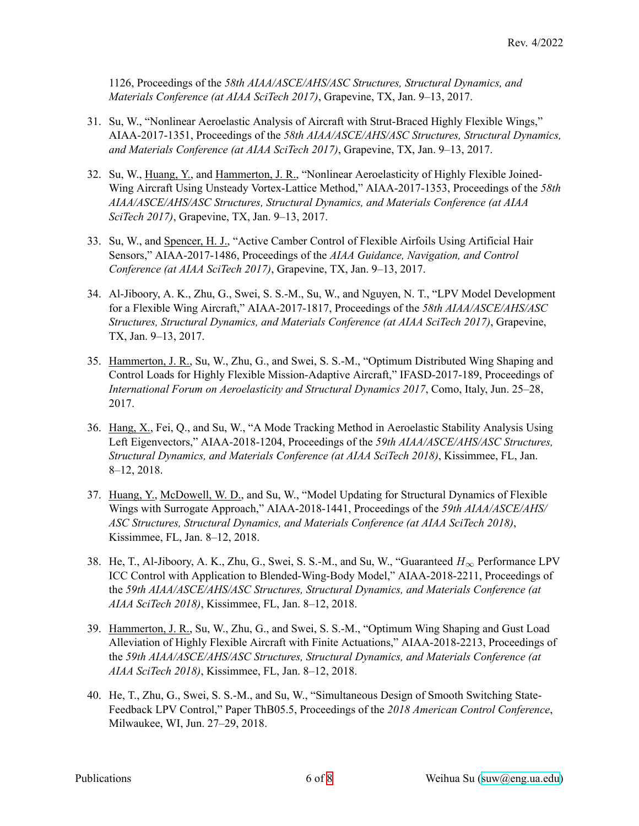1126, Proceedings of the *58th AIAA/ASCE/AHS/ASC Structures, Structural Dynamics, and Materials Conference (at AIAA SciTech 2017)*, Grapevine, TX, Jan. 9–13, 2017.

- 31. Su, W., "Nonlinear Aeroelastic Analysis of Aircraft with Strut-Braced Highly Flexible Wings," AIAA-2017-1351, Proceedings of the *58th AIAA/ASCE/AHS/ASC Structures, Structural Dynamics, and Materials Conference (at AIAA SciTech 2017)*, Grapevine, TX, Jan. 9–13, 2017.
- 32. Su, W., Huang, Y., and Hammerton, J. R., "Nonlinear Aeroelasticity of Highly Flexible Joined-Wing Aircraft Using Unsteady Vortex-Lattice Method," AIAA-2017-1353, Proceedings of the *58th AIAA/ASCE/AHS/ASC Structures, Structural Dynamics, and Materials Conference (at AIAA SciTech 2017)*, Grapevine, TX, Jan. 9–13, 2017.
- 33. Su, W., and Spencer, H. J., "Active Camber Control of Flexible Airfoils Using Artificial Hair Sensors," AIAA-2017-1486, Proceedings of the *AIAA Guidance, Navigation, and Control Conference (at AIAA SciTech 2017)*, Grapevine, TX, Jan. 9–13, 2017.
- 34. Al-Jiboory, A. K., Zhu, G., Swei, S. S.-M., Su, W., and Nguyen, N. T., "LPV Model Development for a Flexible Wing Aircraft," AIAA-2017-1817, Proceedings of the *58th AIAA/ASCE/AHS/ASC Structures, Structural Dynamics, and Materials Conference (at AIAA SciTech 2017)*, Grapevine, TX, Jan. 9–13, 2017.
- 35. Hammerton, J. R., Su, W., Zhu, G., and Swei, S. S.-M., "Optimum Distributed Wing Shaping and Control Loads for Highly Flexible Mission-Adaptive Aircraft," IFASD-2017-189, Proceedings of *International Forum on Aeroelasticity and Structural Dynamics 2017*, Como, Italy, Jun. 25–28, 2017.
- 36. Hang, X., Fei, Q., and Su, W., "A Mode Tracking Method in Aeroelastic Stability Analysis Using Left Eigenvectors," AIAA-2018-1204, Proceedings of the *59th AIAA/ASCE/AHS/ASC Structures, Structural Dynamics, and Materials Conference (at AIAA SciTech 2018)*, Kissimmee, FL, Jan. 8–12, 2018.
- 37. Huang, Y., McDowell, W. D., and Su, W., "Model Updating for Structural Dynamics of Flexible Wings with Surrogate Approach," AIAA-2018-1441, Proceedings of the *59th AIAA/ASCE/AHS/ ASC Structures, Structural Dynamics, and Materials Conference (at AIAA SciTech 2018)*, Kissimmee, FL, Jan. 8–12, 2018.
- 38. He, T., Al-Jiboory, A. K., Zhu, G., Swei, S. S.-M., and Su, W., "Guaranteed *H<sup>∞</sup>* Performance LPV ICC Control with Application to Blended-Wing-Body Model," AIAA-2018-2211, Proceedings of the *59th AIAA/ASCE/AHS/ASC Structures, Structural Dynamics, and Materials Conference (at AIAA SciTech 2018)*, Kissimmee, FL, Jan. 8–12, 2018.
- 39. Hammerton, J. R., Su, W., Zhu, G., and Swei, S. S.-M., "Optimum Wing Shaping and Gust Load Alleviation of Highly Flexible Aircraft with Finite Actuations," AIAA-2018-2213, Proceedings of the *59th AIAA/ASCE/AHS/ASC Structures, Structural Dynamics, and Materials Conference (at AIAA SciTech 2018)*, Kissimmee, FL, Jan. 8–12, 2018.
- 40. He, T., Zhu, G., Swei, S. S.-M., and Su, W., "Simultaneous Design of Smooth Switching State-Feedback LPV Control," Paper ThB05.5, Proceedings of the *2018 American Control Conference*, Milwaukee, WI, Jun. 27–29, 2018.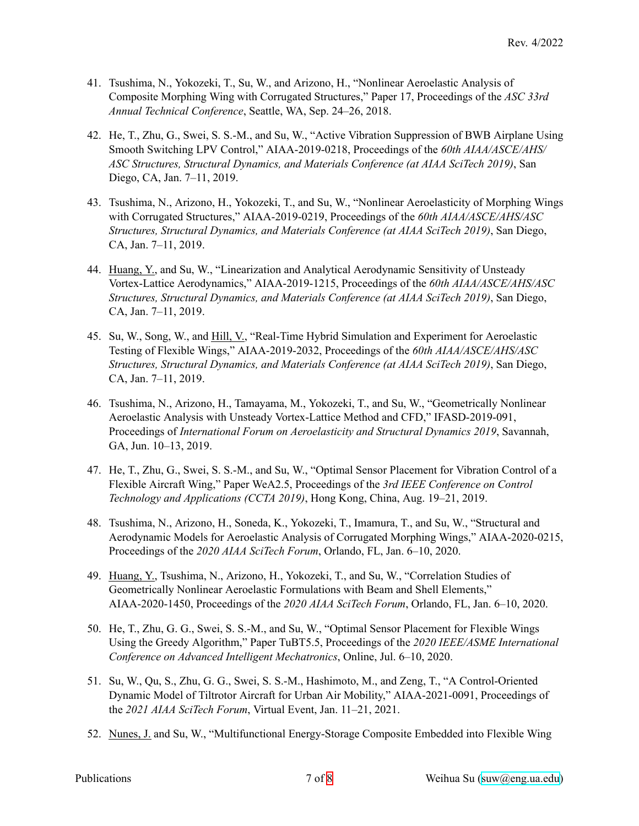- 41. Tsushima, N., Yokozeki, T., Su, W., and Arizono, H., "Nonlinear Aeroelastic Analysis of Composite Morphing Wing with Corrugated Structures," Paper 17, Proceedings of the *ASC 33rd Annual Technical Conference*, Seattle, WA, Sep. 24–26, 2018.
- 42. He, T., Zhu, G., Swei, S. S.-M., and Su, W., "Active Vibration Suppression of BWB Airplane Using Smooth Switching LPV Control," AIAA-2019-0218, Proceedings of the *60th AIAA/ASCE/AHS/ ASC Structures, Structural Dynamics, and Materials Conference (at AIAA SciTech 2019)*, San Diego, CA, Jan. 7–11, 2019.
- 43. Tsushima, N., Arizono, H., Yokozeki, T., and Su, W., "Nonlinear Aeroelasticity of Morphing Wings with Corrugated Structures," AIAA-2019-0219, Proceedings of the *60th AIAA/ASCE/AHS/ASC Structures, Structural Dynamics, and Materials Conference (at AIAA SciTech 2019)*, San Diego, CA, Jan. 7–11, 2019.
- 44. Huang, Y., and Su, W., "Linearization and Analytical Aerodynamic Sensitivity of Unsteady Vortex-Lattice Aerodynamics," AIAA-2019-1215, Proceedings of the *60th AIAA/ASCE/AHS/ASC Structures, Structural Dynamics, and Materials Conference (at AIAA SciTech 2019)*, San Diego, CA, Jan. 7–11, 2019.
- 45. Su, W., Song, W., and Hill, V., "Real-Time Hybrid Simulation and Experiment for Aeroelastic Testing of Flexible Wings," AIAA-2019-2032, Proceedings of the *60th AIAA/ASCE/AHS/ASC Structures, Structural Dynamics, and Materials Conference (at AIAA SciTech 2019)*, San Diego, CA, Jan. 7–11, 2019.
- 46. Tsushima, N., Arizono, H., Tamayama, M., Yokozeki, T., and Su, W., "Geometrically Nonlinear Aeroelastic Analysis with Unsteady Vortex-Lattice Method and CFD," IFASD-2019-091, Proceedings of *International Forum on Aeroelasticity and Structural Dynamics 2019*, Savannah, GA, Jun. 10–13, 2019.
- 47. He, T., Zhu, G., Swei, S. S.-M., and Su, W., "Optimal Sensor Placement for Vibration Control of a Flexible Aircraft Wing," Paper WeA2.5, Proceedings of the *3rd IEEE Conference on Control Technology and Applications (CCTA 2019)*, Hong Kong, China, Aug. 19–21, 2019.
- 48. Tsushima, N., Arizono, H., Soneda, K., Yokozeki, T., Imamura, T., and Su, W., "Structural and Aerodynamic Models for Aeroelastic Analysis of Corrugated Morphing Wings," AIAA-2020-0215, Proceedings of the *2020 AIAA SciTech Forum*, Orlando, FL, Jan. 6–10, 2020.
- 49. Huang, Y., Tsushima, N., Arizono, H., Yokozeki, T., and Su, W., "Correlation Studies of Geometrically Nonlinear Aeroelastic Formulations with Beam and Shell Elements," AIAA-2020-1450, Proceedings of the *2020 AIAA SciTech Forum*, Orlando, FL, Jan. 6–10, 2020.
- 50. He, T., Zhu, G. G., Swei, S. S.-M., and Su, W., "Optimal Sensor Placement for Flexible Wings Using the Greedy Algorithm," Paper TuBT5.5, Proceedings of the *2020 IEEE/ASME International Conference on Advanced Intelligent Mechatronics*, Online, Jul. 6–10, 2020.
- 51. Su, W., Qu, S., Zhu, G. G., Swei, S. S.-M., Hashimoto, M., and Zeng, T., "A Control-Oriented Dynamic Model of Tiltrotor Aircraft for Urban Air Mobility," AIAA-2021-0091, Proceedings of the *2021 AIAA SciTech Forum*, Virtual Event, Jan. 11–21, 2021.
- 52. Nunes, J. and Su, W., "Multifunctional Energy-Storage Composite Embedded into Flexible Wing